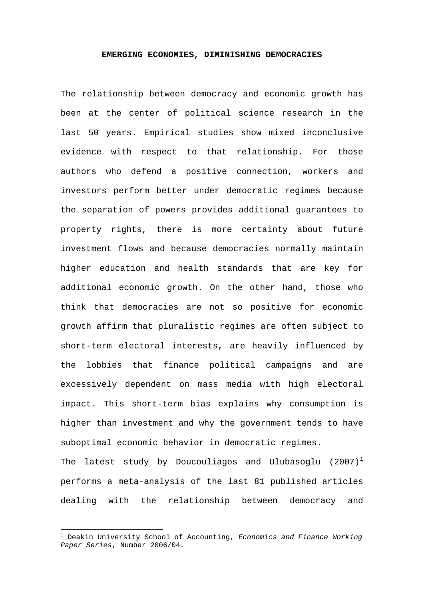## **EMERGING ECONOMIES, DIMINISHING DEMOCRACIES**

The relationship between democracy and economic growth has been at the center of political science research in the last 50 years. Empirical studies show mixed inconclusive evidence with respect to that relationship. For those authors who defend a positive connection, workers and investors perform better under democratic regimes because the separation of powers provides additional guarantees to property rights, there is more certainty about future investment flows and because democracies normally maintain higher education and health standards that are key for additional economic growth. On the other hand, those who think that democracies are not so positive for economic growth affirm that pluralistic regimes are often subject to short-term electoral interests, are heavily influenced by the lobbies that finance political campaigns and are excessively dependent on mass media with high electoral impact. This short-term bias explains why consumption is higher than investment and why the government tends to have suboptimal economic behavior in democratic regimes.

The latest study by Doucouliagos and Ulubasoglu  $(2007)^1$ performs a meta-analysis of the last 81 published articles dealing with the relationship between democracy and

<sup>1</sup> Deakin University School of Accounting, *Economics and Finance Working Paper Series*, Number 2006/04*.*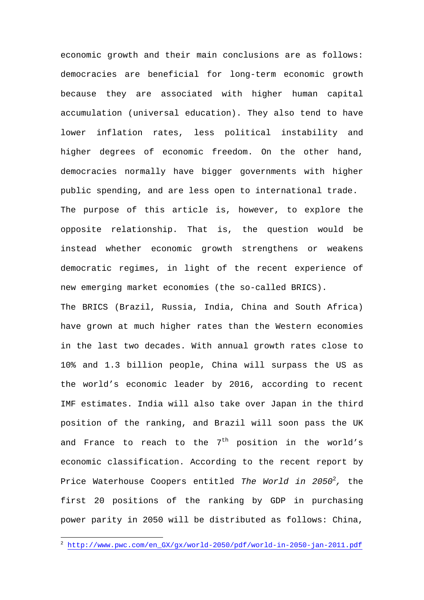economic growth and their main conclusions are as follows: democracies are beneficial for long-term economic growth because they are associated with higher human capital accumulation (universal education). They also tend to have lower inflation rates, less political instability and higher degrees of economic freedom. On the other hand, democracies normally have bigger governments with higher public spending, and are less open to international trade. The purpose of this article is, however, to explore the opposite relationship. That is, the question would be instead whether economic growth strengthens or weakens democratic regimes, in light of the recent experience of new emerging market economies (the so-called BRICS). The BRICS (Brazil, Russia, India, China and South Africa) have grown at much higher rates than the Western economies in the last two decades. With annual growth rates close to 10% and 1.3 billion people, China will surpass the US as the world's economic leader by 2016, according to recent IMF estimates. India will also take over Japan in the third position of the ranking, and Brazil will soon pass the UK and France to reach to the  $7<sup>th</sup>$  position in the world's

economic classification. According to the recent report by Price Waterhouse Coopers entitled *The World in 2050*<sup>2</sup> *,* the first 20 positions of the ranking by GDP in purchasing power parity in 2050 will be distributed as follows: China,

<sup>&</sup>lt;sup>2</sup> http://www.pwc.com/en\_GX/gx/world-2050/pdf/world-in-2050-jan-2011.pdf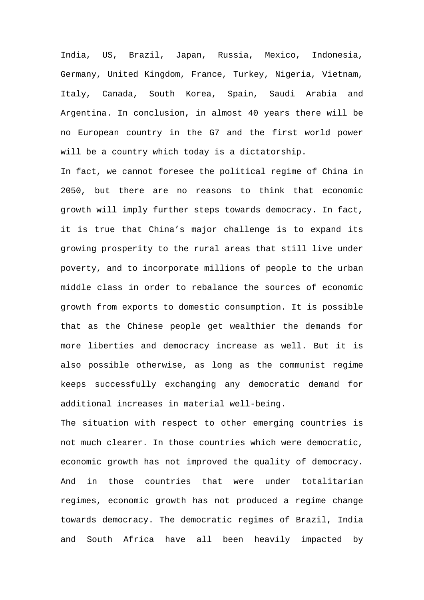India, US, Brazil, Japan, Russia, Mexico, Indonesia, Germany, United Kingdom, France, Turkey, Nigeria, Vietnam, Italy, Canada, South Korea, Spain, Saudi Arabia and Argentina. In conclusion, in almost 40 years there will be no European country in the G7 and the first world power will be a country which today is a dictatorship.

In fact, we cannot foresee the political regime of China in 2050, but there are no reasons to think that economic growth will imply further steps towards democracy. In fact, it is true that China's major challenge is to expand its growing prosperity to the rural areas that still live under poverty, and to incorporate millions of people to the urban middle class in order to rebalance the sources of economic growth from exports to domestic consumption. It is possible that as the Chinese people get wealthier the demands for more liberties and democracy increase as well. But it is also possible otherwise, as long as the communist regime keeps successfully exchanging any democratic demand for additional increases in material well-being.

The situation with respect to other emerging countries is not much clearer. In those countries which were democratic, economic growth has not improved the quality of democracy. And in those countries that were under totalitarian regimes, economic growth has not produced a regime change towards democracy. The democratic regimes of Brazil, India and South Africa have all been heavily impacted by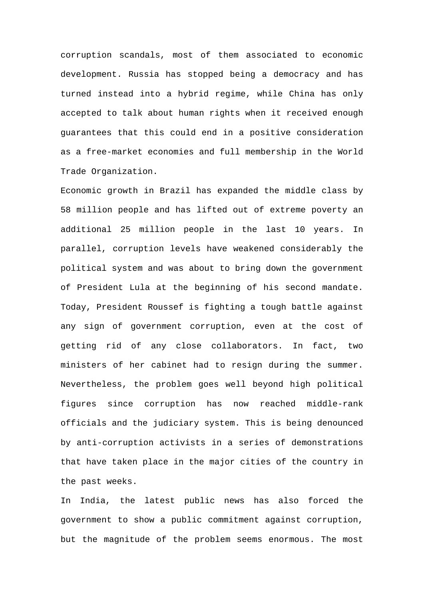corruption scandals, most of them associated to economic development. Russia has stopped being a democracy and has turned instead into a hybrid regime, while China has only accepted to talk about human rights when it received enough guarantees that this could end in a positive consideration as a free-market economies and full membership in the World Trade Organization.

Economic growth in Brazil has expanded the middle class by 58 million people and has lifted out of extreme poverty an additional 25 million people in the last 10 years. In parallel, corruption levels have weakened considerably the political system and was about to bring down the government of President Lula at the beginning of his second mandate. Today, President Roussef is fighting a tough battle against any sign of government corruption, even at the cost of getting rid of any close collaborators. In fact, two ministers of her cabinet had to resign during the summer. Nevertheless, the problem goes well beyond high political figures since corruption has now reached middle-rank officials and the judiciary system. This is being denounced by anti-corruption activists in a series of demonstrations that have taken place in the major cities of the country in the past weeks.

In India, the latest public news has also forced the government to show a public commitment against corruption, but the magnitude of the problem seems enormous. The most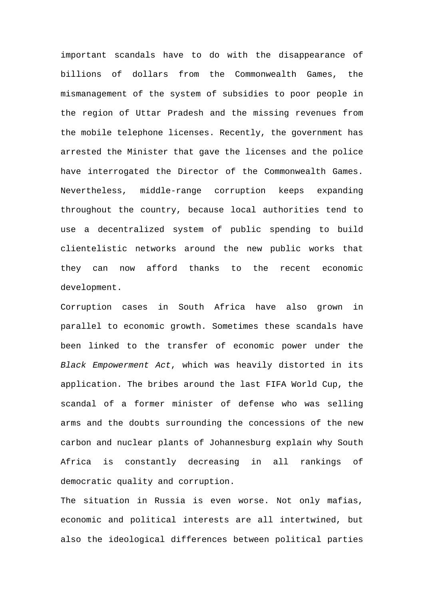important scandals have to do with the disappearance of billions of dollars from the Commonwealth Games, the mismanagement of the system of subsidies to poor people in the region of Uttar Pradesh and the missing revenues from the mobile telephone licenses. Recently, the government has arrested the Minister that gave the licenses and the police have interrogated the Director of the Commonwealth Games. Nevertheless, middle-range corruption keeps expanding throughout the country, because local authorities tend to use a decentralized system of public spending to build clientelistic networks around the new public works that they can now afford thanks to the recent economic development.

Corruption cases in South Africa have also grown in parallel to economic growth. Sometimes these scandals have been linked to the transfer of economic power under the *Black Empowerment Act*, which was heavily distorted in its application. The bribes around the last FIFA World Cup, the scandal of a former minister of defense who was selling arms and the doubts surrounding the concessions of the new carbon and nuclear plants of Johannesburg explain why South Africa is constantly decreasing in all rankings of democratic quality and corruption.

The situation in Russia is even worse. Not only mafias, economic and political interests are all intertwined, but also the ideological differences between political parties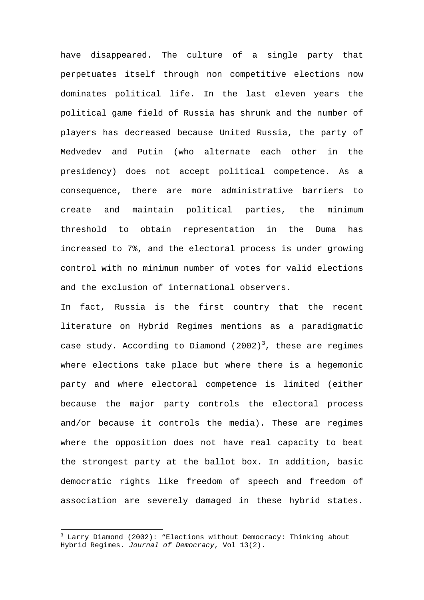have disappeared. The culture of a single party that perpetuates itself through non competitive elections now dominates political life. In the last eleven years the political game field of Russia has shrunk and the number of players has decreased because United Russia, the party of Medvedev and Putin (who alternate each other in the presidency) does not accept political competence. As a consequence, there are more administrative barriers to create and maintain political parties, the minimum threshold to obtain representation in the Duma has increased to 7%, and the electoral process is under growing control with no minimum number of votes for valid elections and the exclusion of international observers.

In fact, Russia is the first country that the recent literature on Hybrid Regimes mentions as a paradigmatic case study. According to Diamond  $(2002)^3$ , these are regimes where elections take place but where there is a hegemonic party and where electoral competence is limited (either because the major party controls the electoral process and/or because it controls the media). These are regimes where the opposition does not have real capacity to beat the strongest party at the ballot box. In addition, basic democratic rights like freedom of speech and freedom of association are severely damaged in these hybrid states.

<sup>&</sup>lt;sup>3</sup> Larry Diamond (2002): "Elections without Democracy: Thinking about Hybrid Regimes. *Journal of Democracy*, Vol 13(2).